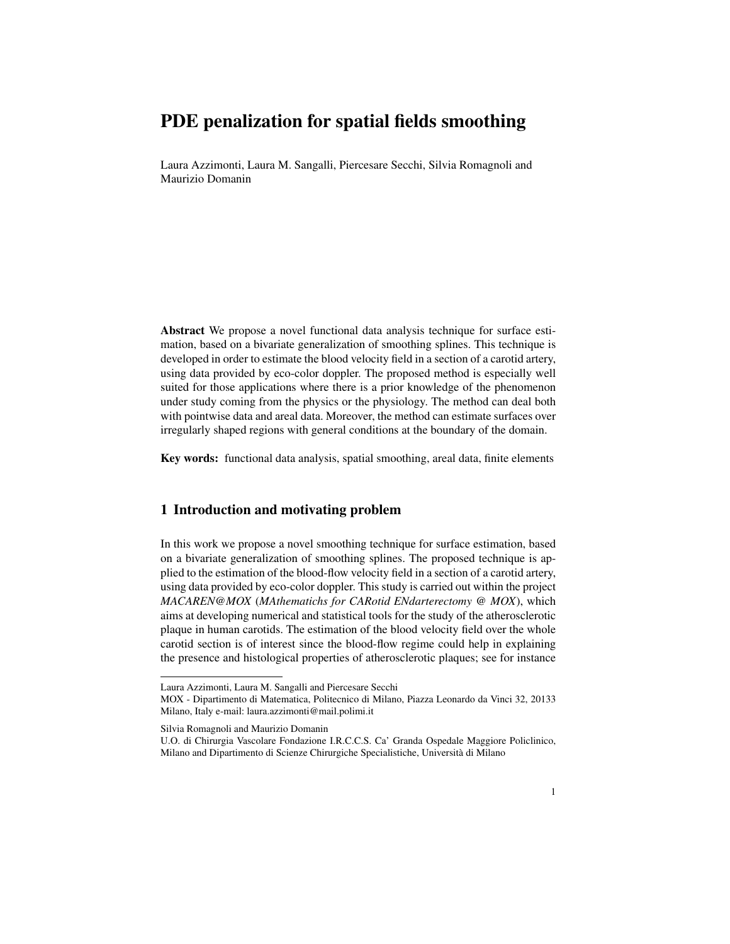# PDE penalization for spatial fields smoothing

Laura Azzimonti, Laura M. Sangalli, Piercesare Secchi, Silvia Romagnoli and Maurizio Domanin

Abstract We propose a novel functional data analysis technique for surface estimation, based on a bivariate generalization of smoothing splines. This technique is developed in order to estimate the blood velocity field in a section of a carotid artery, using data provided by eco-color doppler. The proposed method is especially well suited for those applications where there is a prior knowledge of the phenomenon under study coming from the physics or the physiology. The method can deal both with pointwise data and areal data. Moreover, the method can estimate surfaces over irregularly shaped regions with general conditions at the boundary of the domain.

Key words: functional data analysis, spatial smoothing, areal data, finite elements

# 1 Introduction and motivating problem

In this work we propose a novel smoothing technique for surface estimation, based on a bivariate generalization of smoothing splines. The proposed technique is applied to the estimation of the blood-flow velocity field in a section of a carotid artery, using data provided by eco-color doppler. This study is carried out within the project *MACAREN@MOX* (*MAthematichs for CARotid ENdarterectomy @ MOX*), which aims at developing numerical and statistical tools for the study of the atherosclerotic plaque in human carotids. The estimation of the blood velocity field over the whole carotid section is of interest since the blood-flow regime could help in explaining the presence and histological properties of atherosclerotic plaques; see for instance

Silvia Romagnoli and Maurizio Domanin

Laura Azzimonti, Laura M. Sangalli and Piercesare Secchi

MOX - Dipartimento di Matematica, Politecnico di Milano, Piazza Leonardo da Vinci 32, 20133 Milano, Italy e-mail: laura.azzimonti@mail.polimi.it

U.O. di Chirurgia Vascolare Fondazione I.R.C.C.S. Ca' Granda Ospedale Maggiore Policlinico, Milano and Dipartimento di Scienze Chirurgiche Specialistiche, Universita di Milano `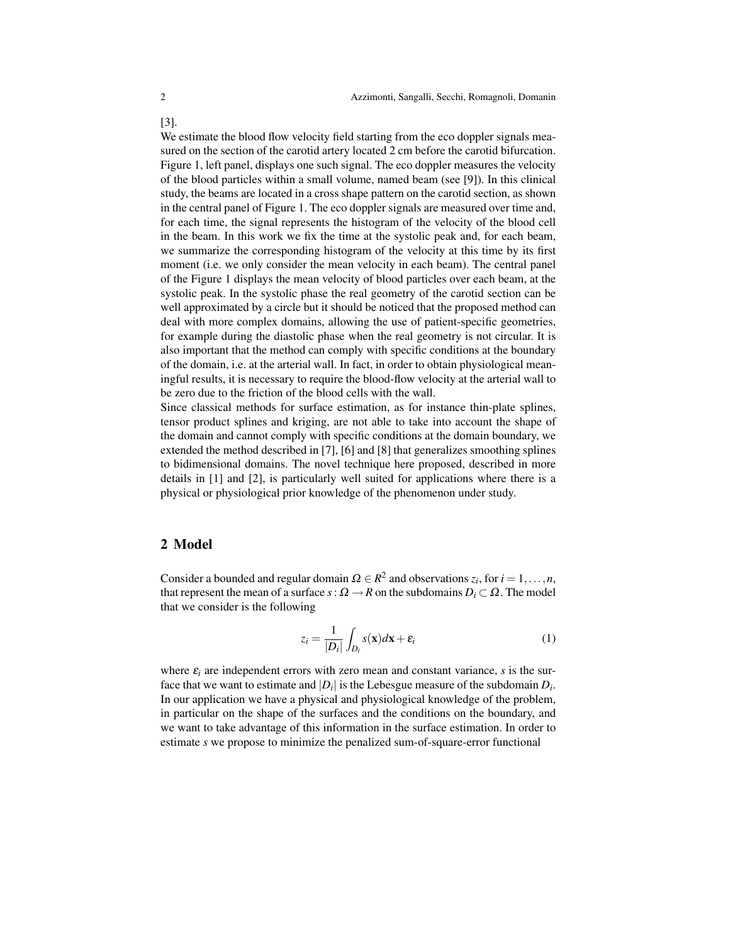We estimate the blood flow velocity field starting from the eco doppler signals measured on the section of the carotid artery located 2 cm before the carotid bifurcation. Figure 1, left panel, displays one such signal. The eco doppler measures the velocity of the blood particles within a small volume, named beam (see [9]). In this clinical study, the beams are located in a cross shape pattern on the carotid section, as shown in the central panel of Figure 1. The eco doppler signals are measured over time and, for each time, the signal represents the histogram of the velocity of the blood cell in the beam. In this work we fix the time at the systolic peak and, for each beam, we summarize the corresponding histogram of the velocity at this time by its first moment (i.e. we only consider the mean velocity in each beam). The central panel of the Figure 1 displays the mean velocity of blood particles over each beam, at the systolic peak. In the systolic phase the real geometry of the carotid section can be well approximated by a circle but it should be noticed that the proposed method can deal with more complex domains, allowing the use of patient-specific geometries, for example during the diastolic phase when the real geometry is not circular. It is also important that the method can comply with specific conditions at the boundary of the domain, i.e. at the arterial wall. In fact, in order to obtain physiological meaningful results, it is necessary to require the blood-flow velocity at the arterial wall to be zero due to the friction of the blood cells with the wall.

Since classical methods for surface estimation, as for instance thin-plate splines, tensor product splines and kriging, are not able to take into account the shape of the domain and cannot comply with specific conditions at the domain boundary, we extended the method described in [7], [6] and [8] that generalizes smoothing splines to bidimensional domains. The novel technique here proposed, described in more details in [1] and [2], is particularly well suited for applications where there is a physical or physiological prior knowledge of the phenomenon under study.

#### 2 Model

Consider a bounded and regular domain  $\Omega \in \mathbb{R}^2$  and observations  $z_i$ , for  $i = 1, \ldots, n$ , that represent the mean of a surface  $s: \Omega \to \mathbb{R}$  on the subdomains  $D_i \subset \Omega$ . The model that we consider is the following

$$
z_i = \frac{1}{|D_i|} \int_{D_i} s(\mathbf{x}) d\mathbf{x} + \varepsilon_i
$$
 (1)

where  $\varepsilon_i$  are independent errors with zero mean and constant variance, *s* is the surface that we want to estimate and  $|D_i|$  is the Lebesgue measure of the subdomain  $D_i$ . In our application we have a physical and physiological knowledge of the problem, in particular on the shape of the surfaces and the conditions on the boundary, and we want to take advantage of this information in the surface estimation. In order to estimate *s* we propose to minimize the penalized sum-of-square-error functional

[3].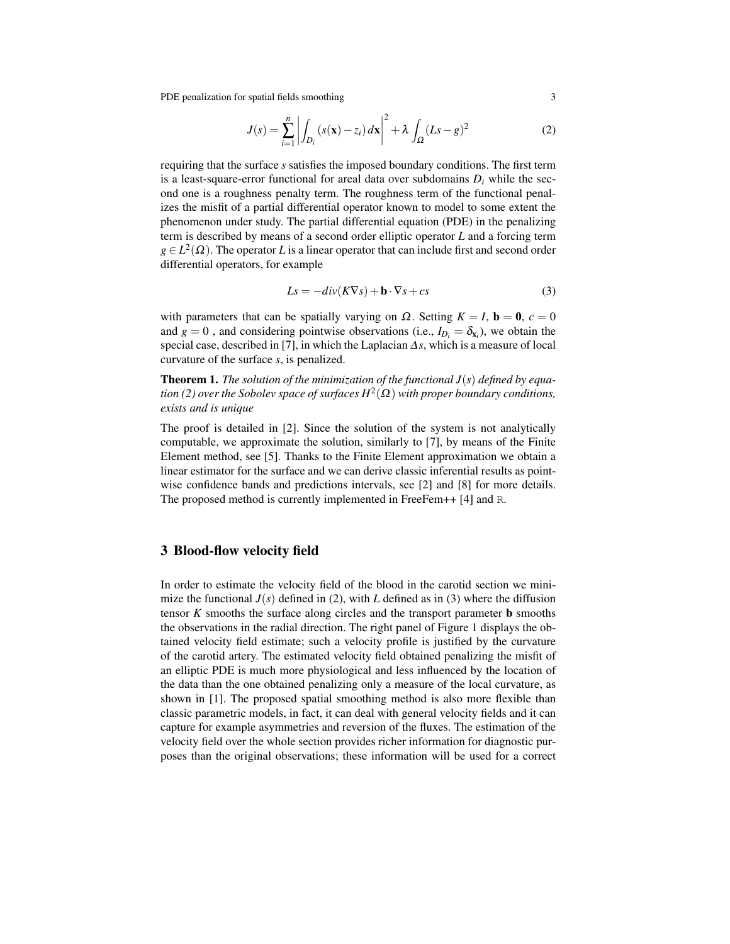PDE penalization for spatial fields smoothing 3

$$
J(s) = \sum_{i=1}^{n} \left| \int_{D_i} (s(\mathbf{x}) - z_i) d\mathbf{x} \right|^2 + \lambda \int_{\Omega} (Ls - g)^2 \tag{2}
$$

requiring that the surface *s* satisfies the imposed boundary conditions. The first term is a least-square-error functional for areal data over subdomains  $D_i$  while the second one is a roughness penalty term. The roughness term of the functional penalizes the misfit of a partial differential operator known to model to some extent the phenomenon under study. The partial differential equation (PDE) in the penalizing term is described by means of a second order elliptic operator *L* and a forcing term  $g \in L^2(\Omega)$ . The operator *L* is a linear operator that can include first and second order differential operators, for example

$$
Ls = -div(K\nabla s) + \mathbf{b} \cdot \nabla s + cs \tag{3}
$$

with parameters that can be spatially varying on  $\Omega$ . Setting  $K = I$ ,  $\mathbf{b} = \mathbf{0}$ ,  $c = 0$ and  $g = 0$ , and considering pointwise observations (i.e.,  $I_{D_i} = \delta_{x_i}$ ), we obtain the special case, described in [7], in which the Laplacian ∆*s*, which is a measure of local curvature of the surface *s*, is penalized.

Theorem 1. *The solution of the minimization of the functional J*(*s*) *defined by equation (2) over the Sobolev space of surfaces H*<sup>2</sup> (Ω) *with proper boundary conditions, exists and is unique*

The proof is detailed in [2]. Since the solution of the system is not analytically computable, we approximate the solution, similarly to [7], by means of the Finite Element method, see [5]. Thanks to the Finite Element approximation we obtain a linear estimator for the surface and we can derive classic inferential results as pointwise confidence bands and predictions intervals, see [2] and [8] for more details. The proposed method is currently implemented in FreeFem++ [4] and R.

## 3 Blood-flow velocity field

In order to estimate the velocity field of the blood in the carotid section we minimize the functional  $J(s)$  defined in (2), with *L* defined as in (3) where the diffusion tensor *K* smooths the surface along circles and the transport parameter b smooths the observations in the radial direction. The right panel of Figure 1 displays the obtained velocity field estimate; such a velocity profile is justified by the curvature of the carotid artery. The estimated velocity field obtained penalizing the misfit of an elliptic PDE is much more physiological and less influenced by the location of the data than the one obtained penalizing only a measure of the local curvature, as shown in [1]. The proposed spatial smoothing method is also more flexible than classic parametric models, in fact, it can deal with general velocity fields and it can capture for example asymmetries and reversion of the fluxes. The estimation of the velocity field over the whole section provides richer information for diagnostic purposes than the original observations; these information will be used for a correct